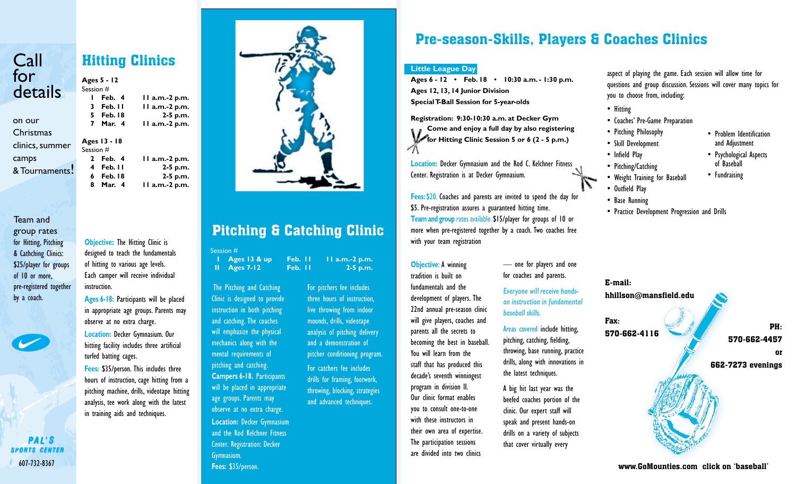# **Call** for details

on our **Christmas** clinics, summer camps & Tournaments!

Team and group rates for Hitting, Pitching & Cathching Clinics: \$25/player for groups of 10 or more, pre-registered together by a coach.



# Hitting Clinics

**Ages 5 - 12** Session # **Feb. 4 11 a.m.-2 p.m. Feb. 11 11 a.m.-2 p.m. Feb. 18 2-5 p.m. Mar. 4 11 a.m.-2 p.m. Ages 13 - 18** Session # **Feb. 4 11 a.m.-2 p.m. Feb. 11 2-5 p.m. Feb. 18 2-5 p.m. Mar. 4 11 a.m.-2 p.m.**

**Objective:** The Hitting Clinic is designed to teach the fundamentals of hitting to various age levels. Each camper will receive individual instruction.

**Ages 6-18:** Participants will be placed in appropriate age groups. Parents may observe at no extra charge. **Location:** Decker Gymnasium. Our hitting facility includes three artificial turfed batting cages. **Fees:** \$35/person. This includes three hours of instruction, cage hitting from a

pitching machine, drills, videotape hitting analysis, tee work along with the latest in training aids and techniques.

**PAL'S SPORTS CENTER** 607-732-8367



# Pitching & Catching Clinic

Session #

**I Ages 13 & up Feb. 11 11 a.m.-2 p.m. II Ages 7-12 Feb. 11 2-5 p.m. Objective:** A winning — one for players and one

**:**The Pitching and Catching Clinic is designed to provide instruction in both pitching and catching. The coaches will emphasize the physical mechanics along with the mental requirements of pitching and catching. **Campers 6-18.** Participants will be placed in appropriate age groups. Parents may observe at no extra charge.

**Location:** Decker Gymnasium and the Rod Kelchner Fitness Center. Registration: Decker Gymnasium. **Fees:** \$35/person.

For pitchers fee includes three hours of instruction, live throwing from indoor mounds, drills, videotape analysis of pitching delivery and a demonstration of pitcher conditioning program. For catchers fee includes drills for framing, footwork, throwing, blocking, strategies and advanced techniques.

## Pre-season-Skills, Players & Coaches Clinics

#### **Little League Day**

**Ages 6 - 12 • Feb. 18 • 10:30 a.m. - 1:30 p.m. Ages 12, 13, 14 Junior Division Special T-Ball Session for 5-year-olds**

**Registration: 9:30-10:30 a.m. at Decker Gym Come and enjoy a full day by also registering for Hitting Clinic Session 5 or 6 (2 - 5 p.m.)**

**Location:** Decker Gymnasium and the Rod C. Kelchner Fitness Center. Registration is at Decker Gymnasium.

**Fees:** \$20. Coaches and parents are invited to spend the day for \$5. Pre-registration assures a guaranteed hitting time. **Team and group** rates available. \$15/player for groups of 10 or more when pre-registered together by a coach. Two coaches free with your team registration

#### **Objective: A winning** tradition is built on

fundamentals and the development of players. The 22nd annual pre-season clinic will give players, coaches and parents all the secrets to becoming the best in baseball. You will learn from the staff that has produced this decade's seventh winningest program in division II. Our clinic format enables you to consult one-to-one with these instructors in their own area of expertise. The participation sessions are divided into two clinics

for coaches and parents.

#### *Everyone will receive handson instruction in fundamental baseball skills.*

Areas covered include hitting, pitching, catching, fielding, throwing, base running, practice drills, along with innovations in the latest techniques.

A big hit last year was the beefed coaches portion of the clinic. Our expert staff will speak and present hands-on drills on a variety of subjects that cover virtually every

aspect of playing the game. Each session will allow time for questions and group discussion. Sessions will cover many topics for you to choose from, including:

- • Hitting
- • Coaches' Pre-Game Preparation
- • Pitching Philosophy
- • Skill Development
- • Infield Play • Pitching/Catching
	- of Baseball • Fundraising

• Problem Identification and Adjustment • Psychological Aspects

- • Weight Training for Baseball
- • Outfield Play
- • Base Running
- Practice Development Progression and Drills



www.GoMounties.com click on 'baseball'